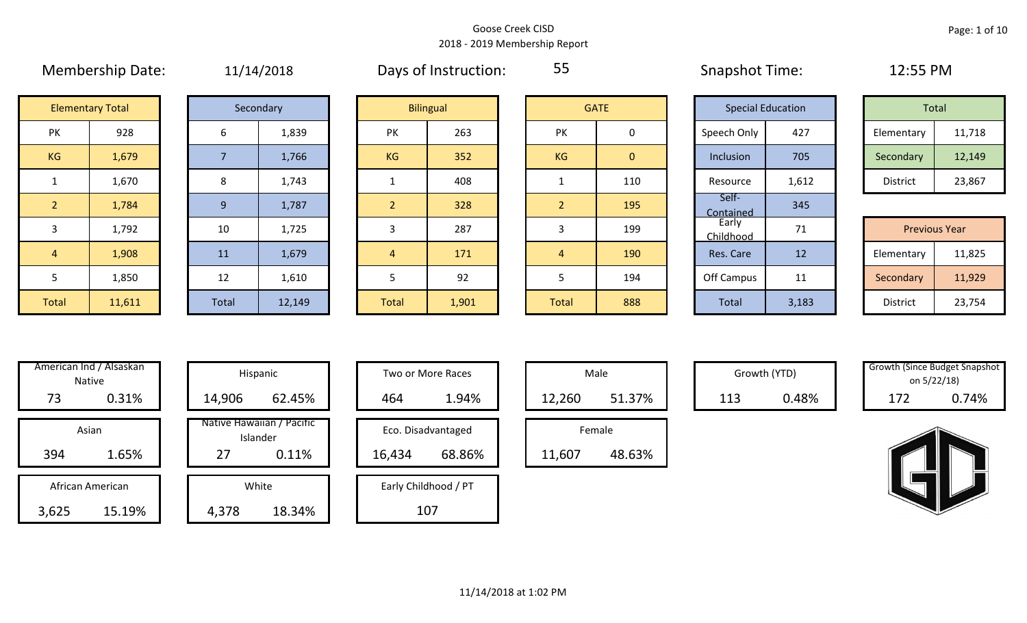|                | 1.18111182111182211     |     | $-$ – $\frac{1}{2}$ – $\frac{1}{2}$ – $\frac{1}{2}$ – $\frac{1}{2}$ |                |                  |                |                |
|----------------|-------------------------|-----|---------------------------------------------------------------------|----------------|------------------|----------------|----------------|
|                | <b>Elementary Total</b> |     | Secondary                                                           |                | <b>Bilingual</b> |                | <b>GATE</b>    |
| PK             | 928                     | 6   | 1,839                                                               | PK             | 263              | PK             | $\mathbf 0$    |
| KG             | 1,679                   |     | 1,766                                                               | KG             | 352              | KG             | $\overline{0}$ |
|                | 1,670                   | 8   | 1,743                                                               |                | 408              |                | 110            |
| $\overline{2}$ | 1,784                   | $9$ | 1,787                                                               | 2              | 328              | $\overline{2}$ | 195            |
| $\overline{3}$ | 1,792                   | 10  | 1,725                                                               | 3              | 287              | 3              | 199            |
| $\overline{4}$ | 1,908                   | 11  | 1,679                                                               | $\overline{4}$ | 171              | $\overline{4}$ | 190            |
|                |                         |     |                                                                     |                |                  |                |                |

Membership Date:  $11/14/2018$  Days of Instruction:  $55$  Snapshot Time: 12:55 PM

55

Self-

Contained 345

| <b>Elementary Total</b> |       |  | Secondary |           | <b>Bilingual</b> |           | <b>GATE</b> | <b>Special Education</b> |       |            | Total  |
|-------------------------|-------|--|-----------|-----------|------------------|-----------|-------------|--------------------------|-------|------------|--------|
| ∕ו ר<br>IN.             | 928   |  | 1,839     | PK        | 263              | PK        |             | Speech Only              | 427   | Elementary | 11,718 |
| G                       | 1,679 |  | 1,766     | <b>KG</b> | 352              | <b>KG</b> | 0           | Inclusion                | 705   | Secondary  | 12,149 |
|                         | 1,670 |  | 1,743     |           | 408              |           | 110         | Resource                 | 1,612 | District   | 23,867 |

|              |        |       |        |       |       |       |     | __________                     |                 |                      |        |
|--------------|--------|-------|--------|-------|-------|-------|-----|--------------------------------|-----------------|----------------------|--------|
| 3            | 1,792  | 10    | 1,725  |       | 287   |       | 199 | Early<br><sup>~h</sup> ildhood |                 | <b>Previous Year</b> |        |
| 4            | 1,908  | 11    | 1,679  |       | 171   |       | 190 | Res. Care                      | 12              | Elementary           | 11,825 |
|              | 1,850  | 12    | 1,610  |       | 92    |       | 194 | Off Campus                     | 11<br><b>++</b> | Secondary            | 11,929 |
| <b>Total</b> | 11,611 | Total | 12,149 | Total | 1,901 | Total | 888 | Total                          | 3,183           | District             | 23,754 |

| 5            | 1,850                   |
|--------------|-------------------------|
| <b>Total</b> | 11,611                  |
|              |                         |
|              |                         |
|              | American Ind / Alsaskan |
|              | Native                  |
| 73           | 0.31%                   |
| Asian        |                         |
| 394          | 1.65%                   |
|              |                         |

| 73                        | 0.31%  | 14,906 | 62.45%                                         | 464    | 1.94%                        | 12,260           | 51.37% | 113 | 0.48% | 172 | 0.74% |
|---------------------------|--------|--------|------------------------------------------------|--------|------------------------------|------------------|--------|-----|-------|-----|-------|
| Asian<br>394              | 1.65%  | 27     | Native Hawaiian / Pacific<br>Islander<br>0.11% | 16,434 | Eco. Disadvantaged<br>68.86% | Female<br>11,607 | 48.63% |     |       |     |       |
| African American<br>3,625 | 15.19% | 4,378  | White<br>18.34%                                |        | Early Childhood / PT<br>107  |                  |        |     |       |     |       |

|  |        | Hispanic                                       |        | Two or More Races            | Mal            |  |
|--|--------|------------------------------------------------|--------|------------------------------|----------------|--|
|  | 14,906 | 62.45%                                         | 464    | 1.94%                        | 12,260         |  |
|  | 27     | Native Hawaiian / Pacific<br>Islander<br>0.11% | 16,434 | Eco. Disadvantaged<br>68.86% | Fema<br>11,607 |  |
|  |        | White                                          |        | Early Childhood / PT         |                |  |

| Hispanic                       |        | <b>Two or More Races</b> |        | Male   |
|--------------------------------|--------|--------------------------|--------|--------|
| 62.45%                         | 464    | 1.94%                    | 12,260 |        |
| lawaiian / Pacific<br>Islander |        | Eco. Disadvantaged       |        | Female |
| 0.11%                          | 16,434 | 68.86%                   | 11,607 |        |
| White                          |        | Early Childhood / PT     |        |        |
| 18.34%                         |        | 107                      |        |        |

|        | Male   |  |  |  |  |  |  |  |  |  |
|--------|--------|--|--|--|--|--|--|--|--|--|
| 12,260 | 51.37% |  |  |  |  |  |  |  |  |  |
| Female |        |  |  |  |  |  |  |  |  |  |
|        | 62%    |  |  |  |  |  |  |  |  |  |

| Growth (YTD) |       |
|--------------|-------|
| 113          | 0.48% |

| Male   |     | Growth (YTD) |  | <b>Growth (Since Budget Snapshot</b><br>on 5/22/18) |
|--------|-----|--------------|--|-----------------------------------------------------|
| 51.37% | 113 | 0.48%        |  | 74%                                                 |

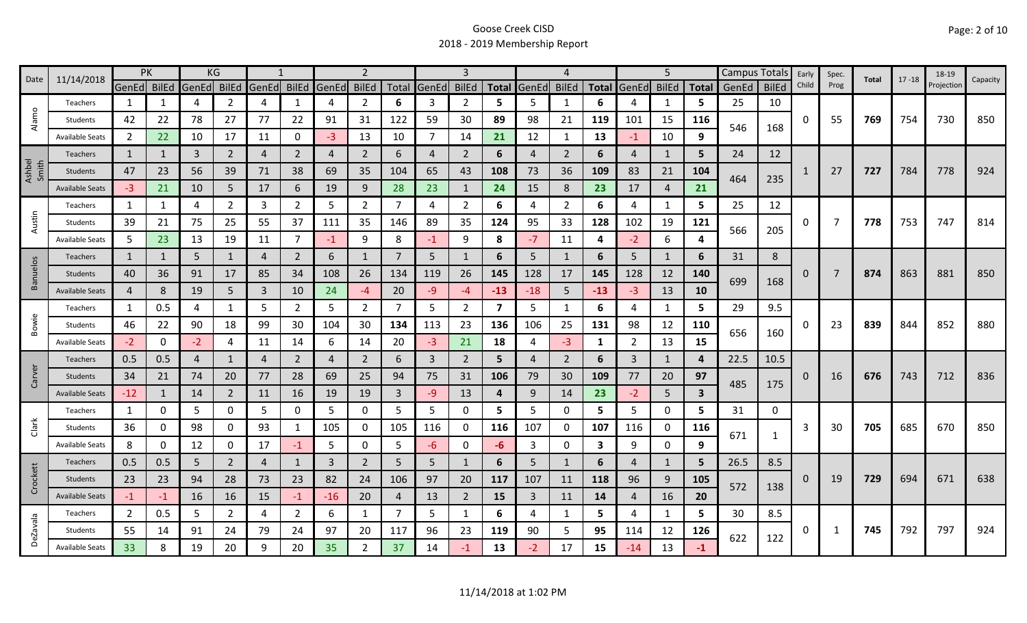| 11/14/2018<br>Date |                        | PK             |      | KG          |                |                            |                | 2            |                |                |             |                |                         | $\boldsymbol{\Delta}$ |                |              | 5              |                | Campus Totals           |            | Early        | Spec.    | Total          | $17 - 18$ | 18-19 |            |          |
|--------------------|------------------------|----------------|------|-------------|----------------|----------------------------|----------------|--------------|----------------|----------------|-------------|----------------|-------------------------|-----------------------|----------------|--------------|----------------|----------------|-------------------------|------------|--------------|----------|----------------|-----------|-------|------------|----------|
|                    |                        | GenEd BilEd    |      | GenEd BilEd |                | GenEd BilEd                |                | <b>GenEd</b> | <b>BilEd</b>   |                | Total GenEd | <b>BilEd</b>   | <b>Total</b>            | GenEd                 | <b>BilEd</b>   | <b>Total</b> | GenEd          | <b>BilEd</b>   | <b>Total</b>            | GenEd      | <b>BilEd</b> | Child    | Prog           |           |       | Projection | Capacity |
| $\circ$            | Teachers               | 1              | 1    | 4           | 2              | 4                          | 1              | 4            | $\overline{2}$ | 6              | 3           | $\overline{2}$ | 5                       | 5                     | $\mathbf{1}$   | 6            | 4              | 1              | 5                       | 25         | 10           |          |                |           |       |            |          |
| Alam               | Students               | 42             | 22   | 78          | 27             | 77                         | 22             | 91           | 31             | 122            | 59          | 30             | 89                      | 98                    | 21             | 119          | 101            | 15             | 116                     | 546        | 168          | $\Omega$ | 55             | 769       | 754   | 730        | 850      |
|                    | <b>Available Seats</b> | $\overline{2}$ | 22   | 10          | 17             | 11                         | 0              | $-3$         | 13             | 10             | 7           | 14             | 21                      | 12                    | $\mathbf 1$    | 13           | $-1$           | 10             | 9                       |            |              |          |                |           |       |            |          |
|                    | Teachers               | $\mathbf{1}$   |      | 3           | $\overline{2}$ | 4                          | $\overline{2}$ | 4            | $\overline{2}$ | 6              | 4           | $\overline{2}$ | 6                       | 4                     | $\overline{2}$ | 6            | 4              | $\mathbf{1}$   | 5                       | 24         | 12           |          |                |           |       |            |          |
| Ashbel<br>Smith    | Students               | 47             | 23   | 56          | 39             | 71                         | 38             | 69           | 35             | 104            | 65          | 43             | 108                     | 73                    | 36             | 109          | 83             | 21             | 104                     | 464        | 235          |          | 27             | 727       | 784   | 778        | 924      |
|                    | <b>Available Seats</b> | $-3$           | 21   | 10          | 5              | 17                         | 6              | 19           | 9              | 28             | 23          | 1              | 24                      | 15                    | 8              | 23           | 17             | $\overline{4}$ | 21                      |            |              |          |                |           |       |            |          |
|                    | Teachers               | 1              |      | 4           | 2              | 3                          | $\overline{2}$ | 5            | $\overline{2}$ | 7              | 4           | $\overline{2}$ | 6                       | 4                     | 2              | 6            | 4              | 1              | 5                       | 25         | 12           |          |                |           |       |            |          |
| Austin             | Students               | 39             | 21   | 75          | 25             | 55                         | 37             | 111          | 35             | 146            | 89          | 35             | 124                     | 95                    | 33             | 128          | 102            | 19             | 121                     | 566        | 205          | 0        | 7              | 778       | 753   | 747        | 814      |
|                    | <b>Available Seats</b> | 5              | 23   | 13          | 19             | 11                         | $\overline{7}$ | $-1$         | 9              | 8              | $-1$        | 9              | 8                       | $-7$                  | 11             | 4            | $-2$           | 6              | Δ                       |            |              |          |                |           |       |            |          |
|                    | <b>Teachers</b>        | $\mathbf{1}$   | 1    | 5           | $\mathbf{1}$   | 4                          | $\overline{2}$ | 6            | $\mathbf{1}$   | $\overline{7}$ | 5           |                | 6                       | 5 <sup>1</sup>        | $\mathbf{1}$   | 6            | 5              | $\mathbf{1}$   | 6                       | 31         | 8            |          |                |           |       |            |          |
| Banuelos           | Students               | 40             | 36   | 91          | 17             | 85                         | 34             | 108          | 26             | 134            | 119         | 26             | 145                     | 128                   | 17             | 145          | 128            | 12             | 140                     | 699<br>168 |              | 0        | $\overline{7}$ | 874       | 863   | 881        | 850      |
|                    | <b>Available Seats</b> | 4              | 8    | 19          | 5.             | 3                          | 10             | 24           | $-4$           | 20             | $-9$        | -4             | $-13$                   | $-18$                 | 5              | $-13$        | $-3$           | 13             | <b>10</b>               |            |              |          |                |           |       |            |          |
|                    | Teachers               | 1              | 0.5  | 4           | 1              | 5                          | $\overline{2}$ | 5            | $\overline{2}$ | 7              | 5           | $\overline{2}$ | $\overline{\mathbf{z}}$ | 5                     | -1             | 6            | 4              | 1              | 5.                      | 29         | 9.5          |          |                |           |       |            |          |
| Bowie              | Students               | 46             | 22   | 90          | 18             | 99                         | 30             | 104          | 30             | 134            | 113         | 23             | 136                     | 106                   | 25             | 131          | 98             | 12             | <b>110</b>              |            |              | 0        | 23             | 839       | 844   | 852        | 880      |
|                    | <b>Available Seats</b> | $-2$           | 0    | $-2$        | 4              | 11                         | 14             | 6            | 14             | 20             | $-3$        | 21             | 18                      | 4                     | $-3$           | 1            | $\overline{2}$ | 13             | 15                      | 656        | 160          |          |                |           |       |            |          |
|                    | Teachers               | 0.5            | 0.5  | 4           | 1              | $\boldsymbol{\mathcal{A}}$ | $\overline{2}$ | 4            | $\overline{2}$ | 6              | 3           | $\overline{2}$ | 5                       | 4                     | $\overline{2}$ | 6            | 3              | $\mathbf{1}$   | Δ                       | 22.5       | 10.5         |          |                |           |       |            |          |
| Carver             | Students               | 34             | 21   | 74          | 20             | 77                         | 28             | 69           | 25             | 94             | 75          | 31             | 106                     | 79                    | 30             | 109          | 77             | 20             | 97                      |            |              | 0        | 16             | 676       | 743   | 712        | 836      |
|                    | <b>Available Seats</b> | $-12$          |      | 14          | $\overline{2}$ | 11                         | 16             | 19           | 19             | 3              | $-9$        | 13             | 4                       | 9                     | 14             | 23           | $-2$           | 5 <sup>5</sup> | $\overline{\mathbf{3}}$ | 485        | 175          |          |                |           |       |            |          |
|                    | Teachers               | 1              | 0    | 5           | 0              | 5                          | 0              | 5            | $\mathbf 0$    | 5              | 5           | 0              | 5                       | 5                     | 0              | 5.           | 5              | $\mathbf 0$    | 5.                      | 31         | 0            |          |                |           |       |            |          |
| Clark              | Students               | 36             | 0    | 98          | 0              | 93                         | 1              | 105          | 0              | 105            | 116         | 0              | 116                     | 107                   | 0              | 107          | 116            | 0              | 116                     |            |              | 3        | 30             | 705       | 685   | 670        | 850      |
|                    | <b>Available Seats</b> | 8              | 0    | 12          | 0              | 17                         | $-1$           | 5            | $\mathbf 0$    | 5              | -6          | 0              | -6                      | 3                     | 0              | 3            | 9              | $\mathbf 0$    | 9                       | 671        | $\mathbf{1}$ |          |                |           |       |            |          |
|                    | <b>Teachers</b>        | 0.5            | 0.5  | 5           | $\overline{2}$ | $\overline{4}$             | $\mathbf{1}$   | $\mathbf{3}$ | $\overline{2}$ | 5              | 5           |                | 6                       | 5 <sup>1</sup>        | $\mathbf{1}$   | 6            | 4              | $\mathbf{1}$   | 5                       | 26.5       | 8.5          |          |                |           |       |            |          |
| Crockett           | Students               | 23             | 23   | 94          | 28             | 73                         | 23             | 82           | 24             | 106            | 97          | 20             | 117                     | 107                   | 11             | 118          | 96             | 9              | 105                     |            |              | 0        | 19             | 729       | 694   | 671        | 638      |
|                    | <b>Available Seats</b> | $-1$           | $-1$ | 16          | 16             | 15                         | $-1$           | $-16$        | 20             | 4              | 13          | $\overline{2}$ | 15                      | 3                     | 11             | 14           | 4              | 16             | 20                      | 572        | 138          |          |                |           |       |            |          |
|                    | Teachers               | 2              | 0.5  | 5           | $\overline{2}$ | 4                          | $\overline{2}$ | 6            | 1              | -7             | 5           | 1              | 6                       | 4                     | -1             | 5.           | 4              | 1              | 5.                      | 30         | 8.5          |          |                |           |       |            |          |
| <b>DeZavala</b>    | Students               | 55             | 14   | 91          | 24             | 79                         | 24             | 97           | 20             | 117            | 96          | 23             | 119                     | 90                    | 5              | 95           | 114            | 12             | 126                     | 622        |              | 0        | -1             | 745       | 792   | 797        | 924      |
|                    | <b>Available Seats</b> | 33             |      | 19          | 20             | 9                          | 20             | 35           | $\overline{2}$ | 37             | 14          |                | 13                      | $-2$                  | 17             | 15           | -14            | 13             | $-1$                    |            | 122          |          |                |           |       |            |          |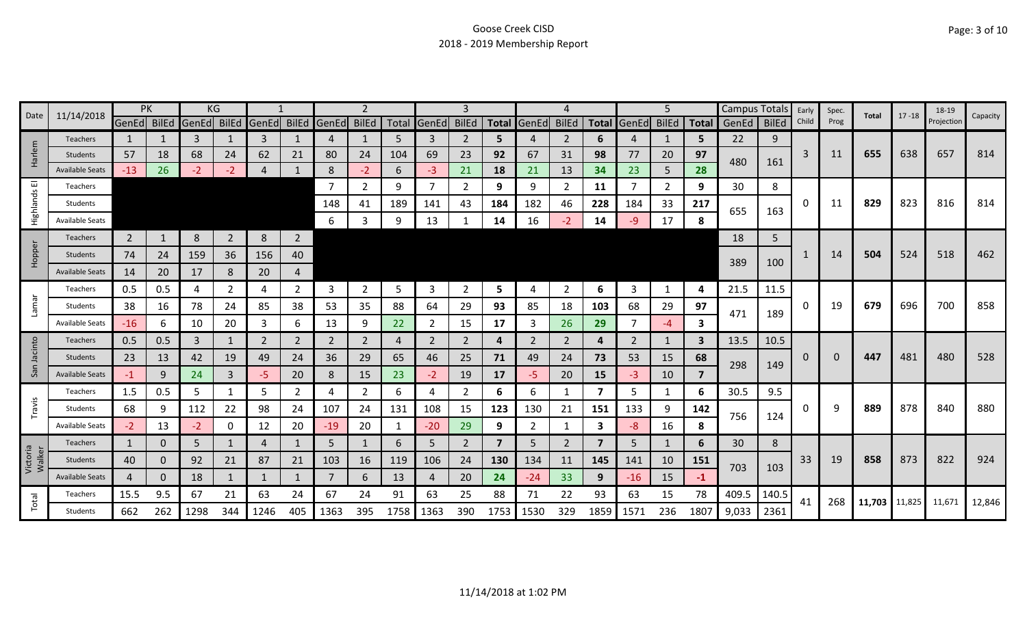| Date               | 11/14/2018             | PK             |          |       | KG             |                   |                |              | 2              |      |                | 3              |                         |       |                |              |       | 5              |              | Campus Totals |              | Early | Spec.    | Total         | $17 - 18$ | 18-19      | Capacity |
|--------------------|------------------------|----------------|----------|-------|----------------|-------------------|----------------|--------------|----------------|------|----------------|----------------|-------------------------|-------|----------------|--------------|-------|----------------|--------------|---------------|--------------|-------|----------|---------------|-----------|------------|----------|
|                    |                        | GenEd BilEd    |          | GenEd |                | BilEd GenEd BilEd |                | <b>GenEd</b> | <b>BilEd</b>   |      | Total GenEd    | <b>BilEd</b>   | <b>Total</b>            | GenEd | <b>BilEd</b>   | <b>Total</b> | GenEd | <b>BilEd</b>   | <b>Total</b> | GenEd         | <b>BilEd</b> | Child | Prog     |               |           | Projection |          |
|                    | <b>Teachers</b>        | $\mathbf{1}$   |          | 3     |                | 3                 |                | 4            |                | 5    | 3              | 2              | 5                       |       | 2              | 6            | 4     | 1              | 5            | 22            | 9            |       |          |               |           |            |          |
| Harlem             | <b>Students</b>        | 57             | 18       | 68    | 24             | 62                | 21             | 80           | 24             | 104  | 69             | 23             | 92                      | 67    | 31             | 98           | 77    | 20             | 97           | 480           | 161          | 3     | 11       | 655           | 638       | 657        | 814      |
|                    | <b>Available Seats</b> | $-13$          | 26       | $-2$  | $-2$           | 4                 |                | 8            | $-2$           | 6    | $-3$           | 21             | 18                      | 21    | 13             | 34           | 23    | 5              | 28           |               |              |       |          |               |           |            |          |
| ш                  | Teachers               |                |          |       |                |                   |                | 7            | $\mathbf{2}$   | 9    | $\overline{7}$ | 2              | 9                       | 9     | 2              | 11           |       | $\overline{2}$ | 9            | 30            | 8            |       |          |               |           |            |          |
| Highlands          | Students               |                |          |       |                |                   |                | 148          | 41             | 189  | 141            | 43             | 184                     | 182   | 46             | 228          | 184   | 33             | 217          | 655           | 163          | 0     | 11       | 829           | 823       | 816        | 814      |
|                    | <b>Available Seats</b> |                |          |       |                |                   |                | 6            | 3              | 9    | 13             |                | 14                      | 16    | $-2$           | 14           | -9    | 17             | 8            |               |              |       |          |               |           |            |          |
|                    | <b>Teachers</b>        | $\overline{2}$ | 1        | 8     | $\overline{2}$ | 8                 | $\overline{2}$ |              |                |      |                |                |                         |       |                |              |       |                |              | 18            | 5            |       |          |               |           |            |          |
| Hopper             | Students               | 74             | 24       | 159   | 36             | 156               | 40             |              |                |      |                |                |                         |       |                |              |       |                |              |               |              |       | 14       | 504           | 524       | 518        | 462      |
|                    | <b>Available Seats</b> | 14             | 20       | 17    | 8              | 20                | $\overline{4}$ |              |                |      |                |                |                         |       |                |              |       |                |              | 389           | 100          |       |          |               |           |            |          |
|                    | Teachers               | 0.5            | 0.5      | 4     | 2              | 4                 | $\overline{2}$ | 3            | $\overline{2}$ | 5    | 3              | 2              | 5.                      | 4     | $\overline{2}$ | 6            | 3     | 1              | 4            | 21.5          | 11.5         |       |          |               |           |            |          |
| <b>Lamar</b>       | Students               | 38             | 16       | 78    | 24             | 85                | 38             | 53           | 35             | 88   | 64             | 29             | 93                      | 85    | 18             | 103          | 68    | 29             | 97           |               |              | 0     | 19       | 679           | 696       | 700        | 858      |
|                    | <b>Available Seats</b> | $-16$          | 6        | 10    | 20             | 3                 | 6              | 13           | 9              | 22   | 2              | 15             | 17                      | 3     | 26             | 29           |       | $-4$           | 3            | 471           | 189          |       |          |               |           |            |          |
|                    | Teachers               | 0.5            | 0.5      | 3     |                | 2                 | $\overline{2}$ | 2            | $\overline{2}$ | 4    | 2              | 2              | 4                       | 2     | 2              | 4            | 2     | 1              | 3            | 13.5          | 10.5         |       |          |               |           |            |          |
| Jacinto            | Students               | 23             | 13       | 42    | 19             | 49                | 24             | 36           | 29             | 65   | 46             | 25             | 71                      | 49    | 24             | 73           | 53    | 15             | 68           |               |              | 0     | $\Omega$ | 447           | 481       | 480        | 528      |
| San                | <b>Available Seats</b> | $-1$           | 9        | 24    | 3              | -5                | 20             | 8            | 15             | 23   | $-2$           | 19             | 17                      | -5.   | 20             | 15           | -3    | 10             | 7            | 298           | 149          |       |          |               |           |            |          |
|                    | Teachers               | 1.5            | 0.5      | 5     |                | 5                 | $\overline{2}$ | 4            | $\overline{2}$ | 6    | 4              | 2              | 6                       | 6     | -1             | 7            | 5     | 1              | 6            | 30.5          | 9.5          |       |          |               |           |            |          |
| Travis             | Students               | 68             | 9        | 112   | 22             | 98                | 24             | 107          | 24             | 131  | 108            | 15             | 123                     | 130   | 21             | 151          | 133   | 9              | 142          |               |              | O     | q        | 889           | 878       | 840        | 880      |
|                    | <b>Available Seats</b> | $-2$           | 13       | $-2$  | 0              | 12                | 20             | $-19$        | 20             |      | $-20$          | 29             | 9                       | 2     |                | 3            | -8    | 16             | 8            | 756           | 124          |       |          |               |           |            |          |
|                    | Teachers               | $\mathbf{1}$   | 0        | 5     |                | $\overline{4}$    | 1              | 5            |                | 6    | 5              | $\overline{2}$ | $\overline{\mathbf{z}}$ | 5     | 2              |              | 5     | 1              | 6            | 30            | 8            |       |          |               |           |            |          |
| Victoria<br>Walker | Students               | 40             | $\Omega$ | 92    | 21             | 87                | 21             | 103          | 16             | 119  | 106            | 24             | 130                     | 134   | 11             | 145          | 141   | 10             | 151          |               |              | 33    | 19       | 858           | 873       | 822        | 924      |
|                    | <b>Available Seats</b> | 4              | 0        | 18    |                |                   |                | 7            | 6              | 13   | $\overline{4}$ | 20             | 24                      | $-24$ | 33             | 9            | $-16$ | 15             | $-1$         | 703           | 103          |       |          |               |           |            |          |
|                    | Teachers               | 15.5           | 9.5      | 67    | 21             | 63                | 24             | 67           | 24             | 91   | 63             | 25             | 88                      | 71    | 22             | 93           | 63    | 15             | 78           | 409.5         | 140.5        |       |          |               |           |            |          |
| Total              | <b>Students</b>        | 662            | 262      | 1298  | 344            | 1246              | 405            | 1363         | 395            | 1758 | 1363           | 390            | 1753                    | 1530  | 329            | 1859         | 1571  | 236            | 1807         | 9,033         | 2361         | 41    | 268      | 11,703 11,825 |           | 11,671     | 12,846   |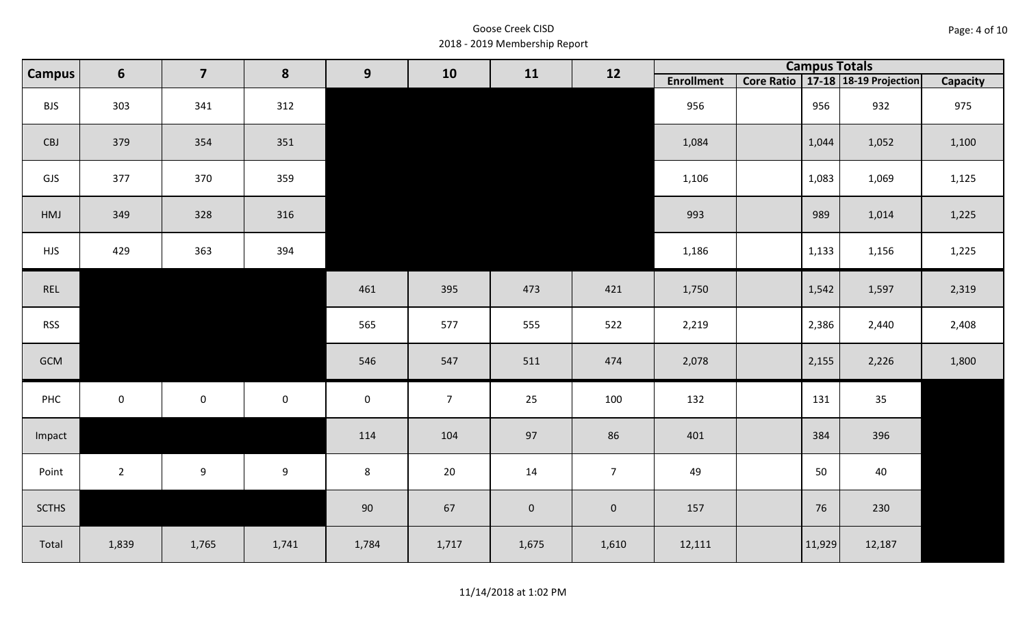| Page: 4 of 10 |  |  |  |
|---------------|--|--|--|
|---------------|--|--|--|

| <b>Campus</b> | 6           | $\overline{\mathbf{z}}$ | 8                   | 9                   | 10             | 11        | 12                  |                   |        | <b>Campus Totals</b>                  |          |
|---------------|-------------|-------------------------|---------------------|---------------------|----------------|-----------|---------------------|-------------------|--------|---------------------------------------|----------|
|               |             |                         |                     |                     |                |           |                     | <b>Enrollment</b> |        | Core Ratio   17-18   18-19 Projection | Capacity |
| <b>BJS</b>    | 303         | 341                     | 312                 |                     |                |           |                     | 956               | 956    | 932                                   | 975      |
| CBJ           | 379         | 354                     | 351                 |                     |                |           |                     | 1,084             | 1,044  | 1,052                                 | 1,100    |
| GJS           | 377         | 370                     | 359                 |                     |                |           |                     | 1,106             | 1,083  | 1,069                                 | 1,125    |
| HMJ           | 349         | 328                     | 316                 |                     |                |           |                     | 993               | 989    | 1,014                                 | 1,225    |
| <b>HJS</b>    | 429         | 363                     | 394                 |                     |                |           |                     | 1,186             | 1,133  | 1,156                                 | 1,225    |
| REL           |             |                         |                     | 461                 | 395            | 473       | 421                 | 1,750             | 1,542  | 1,597                                 | 2,319    |
| <b>RSS</b>    |             |                         |                     | 565                 | 577            | 555       | 522                 | 2,219             | 2,386  | 2,440                                 | 2,408    |
| GCM           |             |                         |                     | 546                 | 547            | 511       | 474                 | 2,078             | 2,155  | 2,226                                 | 1,800    |
| PHC           | $\mathsf 0$ | $\mathsf{O}\xspace$     | $\mathsf{O}\xspace$ | $\mathsf{O}\xspace$ | $\overline{7}$ | 25        | 100                 | 132               | 131    | 35                                    |          |
| Impact        |             |                         |                     | 114                 | 104            | 97        | 86                  | 401               | 384    | 396                                   |          |
| Point         | $2^{\circ}$ | 9                       | 9                   | $8\phantom{1}$      | 20             | 14        | 7 <sup>1</sup>      | 49                | 50     | 40                                    |          |
| <b>SCTHS</b>  |             |                         |                     | $90\,$              | 67             | $\pmb{0}$ | $\mathsf{O}\xspace$ | 157               | 76     | 230                                   |          |
| Total         | 1,839       | 1,765                   | 1,741               | 1,784               | 1,717          | 1,675     | 1,610               | 12,111            | 11,929 | 12,187                                |          |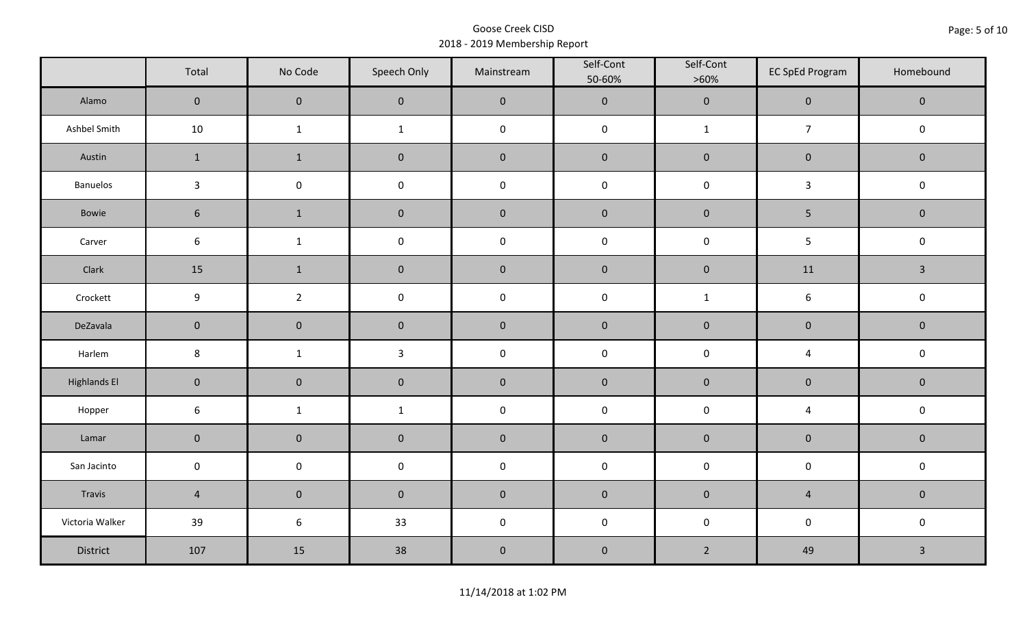|                     | Total               | No Code             | Speech Only  | Mainstream  | Self-Cont<br>50-60% | Self-Cont<br>$>60\%$ | <b>EC SpEd Program</b>  | Homebound    |
|---------------------|---------------------|---------------------|--------------|-------------|---------------------|----------------------|-------------------------|--------------|
| Alamo               | $\overline{0}$      | $\mathbf{0}$        | $\mathbf{0}$ | $\pmb{0}$   | $\pmb{0}$           | $\pmb{0}$            | $\mathbf 0$             | $\mathbf 0$  |
| Ashbel Smith        | 10                  | $\mathbf{1}$        | $\mathbf{1}$ | $\pmb{0}$   | $\pmb{0}$           | $\mathbf{1}$         | $\boldsymbol{7}$        | $\mathbf 0$  |
| Austin              | $\mathbf{1}$        | $\mathbf 1$         | $\mathbf 0$  | $\pmb{0}$   | $\pmb{0}$           | $\pmb{0}$            | $\pmb{0}$               | $\mathbf 0$  |
| Banuelos            | $\mathbf{3}$        | $\mathsf{O}\xspace$ | $\pmb{0}$    | $\pmb{0}$   | $\pmb{0}$           | $\pmb{0}$            | $\mathbf{3}$            | $\pmb{0}$    |
| Bowie               | $6\phantom{1}$      | $\mathbf{1}$        | $\mathbf{0}$ | $\mathbf 0$ | $\mathbf 0$         | $\mathbf 0$          | $5\phantom{.0}$         | $\mathbf 0$  |
| Carver              | $\sqrt{6}$          | $\mathbf{1}$        | $\pmb{0}$    | $\pmb{0}$   | $\pmb{0}$           | $\pmb{0}$            | 5                       | $\pmb{0}$    |
| Clark               | 15                  | $\mathbf{1}$        | $\mathbf 0$  | $\pmb{0}$   | $\pmb{0}$           | $\pmb{0}$            | 11                      | $\mathbf{3}$ |
| Crockett            | 9                   | $\overline{2}$      | $\pmb{0}$    | $\pmb{0}$   | $\pmb{0}$           | $\mathbf{1}$         | 6                       | $\pmb{0}$    |
| DeZavala            | $\mathbf 0$         | $\mathbf 0$         | $\mathbf 0$  | $\pmb{0}$   | $\pmb{0}$           | $\pmb{0}$            | $\pmb{0}$               | $\pmb{0}$    |
| Harlem              | $\,8\,$             | $\mathbf{1}$        | $\mathbf{3}$ | $\pmb{0}$   | $\pmb{0}$           | $\pmb{0}$            | $\overline{\mathbf{4}}$ | $\mathsf 0$  |
| <b>Highlands El</b> | $\mathbf 0$         | $\mathbf 0$         | $\mathbf 0$  | $\pmb{0}$   | $\pmb{0}$           | $\pmb{0}$            | $\pmb{0}$               | $\mathbf 0$  |
| Hopper              | $\boldsymbol{6}$    | $\mathbf{1}$        | $\mathbf{1}$ | $\pmb{0}$   | $\pmb{0}$           | $\pmb{0}$            | $\overline{4}$          | $\pmb{0}$    |
| Lamar               | $\mathbf 0$         | $\mathbf 0$         | $\mathbf 0$  | $\pmb{0}$   | $\pmb{0}$           | $\pmb{0}$            | $\pmb{0}$               | $\pmb{0}$    |
| San Jacinto         | $\mathsf{O}\xspace$ | $\pmb{0}$           | $\pmb{0}$    | $\pmb{0}$   | $\pmb{0}$           | $\pmb{0}$            | $\pmb{0}$               | $\pmb{0}$    |
| Travis              | $\overline{4}$      | $\mathbf 0$         | $\mathbf 0$  | $\pmb{0}$   | $\pmb{0}$           | $\pmb{0}$            | $\overline{4}$          | $\mathbf 0$  |
| Victoria Walker     | 39                  | $6\phantom{.}6$     | 33           | $\pmb{0}$   | $\pmb{0}$           | $\pmb{0}$            | $\pmb{0}$               | $\pmb{0}$    |
| District            | 107                 | 15                  | 38           | $\pmb{0}$   | $\pmb{0}$           | $\overline{2}$       | 49                      | $\mathbf{3}$ |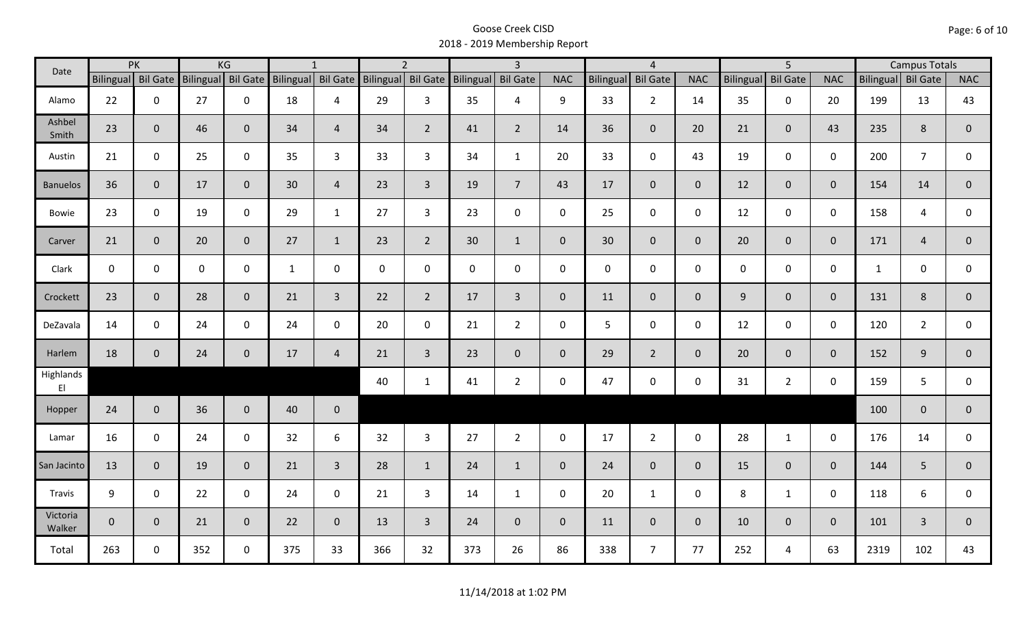| Date               |              | PK<br>KG<br>$\overline{2}$<br>$\overline{3}$<br>$\mathbf{1}$ |                    |                |              |                    | $\overline{4}$ |                    |             | $\overline{5}$  |                | <b>Campus Totals</b> |                 |                |                  |                 |                |                    |                |                |
|--------------------|--------------|--------------------------------------------------------------|--------------------|----------------|--------------|--------------------|----------------|--------------------|-------------|-----------------|----------------|----------------------|-----------------|----------------|------------------|-----------------|----------------|--------------------|----------------|----------------|
|                    |              | Bilingual Bil Gate                                           | Bilingual Bil Gate |                |              | Bilingual Bil Gate |                | Bilingual Bil Gate | Bilingual   | <b>Bil Gate</b> | <b>NAC</b>     | Bilingual            | <b>Bil Gate</b> | <b>NAC</b>     | <b>Bilingual</b> | <b>Bil Gate</b> | <b>NAC</b>     | Bilingual Bil Gate |                | <b>NAC</b>     |
| Alamo              | 22           | $\mathbf 0$                                                  | 27                 | $\mathbf 0$    | 18           | $\overline{4}$     | 29             | $\mathbf{3}$       | 35          | 4               | 9              | 33                   | $\overline{2}$  | 14             | 35               | $\mathbf 0$     | 20             | 199                | 13             | 43             |
| Ashbel<br>Smith    | 23           | $\mathbf 0$                                                  | 46                 | $\mathbf{0}$   | 34           | $\overline{4}$     | 34             | $2^{\circ}$        | 41          | $\overline{2}$  | 14             | 36                   | $\overline{0}$  | 20             | 21               | $\mathbf{0}$    | 43             | 235                | 8              | $\overline{0}$ |
| Austin             | 21           | $\mathbf 0$                                                  | 25                 | $\mathbf 0$    | 35           | 3                  | 33             | $\mathbf{3}$       | 34          | $\mathbf{1}$    | 20             | 33                   | $\mathbf 0$     | 43             | 19               | $\mathbf 0$     | $\mathbf 0$    | 200                | $\overline{7}$ | 0              |
| <b>Banuelos</b>    | 36           | $\mathbf{0}$                                                 | 17                 | $\mathbf{0}$   | 30           | $\overline{4}$     | 23             | $\overline{3}$     | 19          | 7 <sup>1</sup>  | 43             | 17                   | $\overline{0}$  | $\mathbf{0}$   | 12               | $\overline{0}$  | $\mathbf{0}$   | 154                | 14             | $\mathbf{0}$   |
| <b>Bowie</b>       | 23           | $\mathbf 0$                                                  | 19                 | $\mathbf 0$    | 29           | $\mathbf{1}$       | 27             | $\mathbf{3}$       | 23          | $\mathbf 0$     | $\mathbf 0$    | 25                   | $\mathbf 0$     | $\mathbf 0$    | 12               | $\mathbf 0$     | $\mathbf 0$    | 158                | 4              | 0              |
| Carver             | 21           | $\mathbf 0$                                                  | 20                 | $\overline{0}$ | 27           | $\mathbf{1}$       | 23             | $2^{\circ}$        | 30          | $\mathbf{1}$    | $\mathbf{0}$   | 30                   | $\overline{0}$  | $\overline{0}$ | 20               | $\overline{0}$  | $\overline{0}$ | 171                | $\overline{4}$ | $\mathbf 0$    |
| Clark              | $\mathbf 0$  | $\mathbf 0$                                                  | $\mathsf{O}$       | $\mathbf 0$    | $\mathbf{1}$ | $\mathbf 0$        | 0              | $\mathbf{0}$       | $\mathbf 0$ | $\mathbf 0$     | $\mathbf 0$    | $\mathbf 0$          | $\mathbf 0$     | $\mathbf 0$    | $\mathbf 0$      | $\overline{0}$  | $\mathbf 0$    | $\mathbf{1}$       | $\mathbf 0$    | $\mathbf 0$    |
| Crockett           | 23           | $\mathbf{0}$                                                 | 28                 | $\mathbf 0$    | 21           | $\overline{3}$     | 22             | $2^{\circ}$        | 17          | $\mathbf{3}$    | $\mathbf 0$    | 11                   | $\overline{0}$  | $\mathbf{0}$   | 9                | $\mathbf{0}$    | $\overline{0}$ | 131                | 8              | $\mathbf 0$    |
| DeZavala           | 14           | $\mathbf 0$                                                  | 24                 | $\mathsf 0$    | 24           | $\mathbf 0$        | 20             | $\mathbf 0$        | 21          | $2^{\circ}$     | $\mathbf 0$    | 5                    | $\mathbf 0$     | $\mathbf 0$    | 12               | $\mathbf 0$     | $\mathbf 0$    | 120                | $\overline{2}$ | 0              |
| Harlem             | 18           | $\mathbf 0$                                                  | 24                 | $\overline{0}$ | 17           | $\overline{4}$     | 21             | $\overline{3}$     | 23          | $\mathbf 0$     | $\overline{0}$ | 29                   | $2^{\circ}$     | $\overline{0}$ | 20               | $\mathbf{0}$    | $\overline{0}$ | 152                | 9              | $\overline{0}$ |
| Highlands<br>EI    |              |                                                              |                    |                |              |                    | 40             | $\mathbf{1}$       | 41          | $\overline{2}$  | 0              | 47                   | $\mathbf 0$     | $\mathbf 0$    | 31               | $2^{\circ}$     | $\mathbf 0$    | 159                | 5              | 0              |
| Hopper             | 24           | $\mathbf{0}$                                                 | 36                 | $\overline{0}$ | 40           | $\mathbf 0$        |                |                    |             |                 |                |                      |                 |                |                  |                 |                | 100                | $\mathbf{0}$   | $\overline{0}$ |
| Lamar              | 16           | $\mathbf 0$                                                  | 24                 | $\mathbf 0$    | 32           | 6                  | 32             | $\mathbf{3}$       | 27          | $2^{\circ}$     | 0              | 17                   | $\overline{2}$  | $\mathbf 0$    | 28               | $\mathbf{1}$    | $\mathbf 0$    | 176                | 14             | 0              |
| San Jacinto        | 13           | $\mathbf 0$                                                  | 19                 | $\overline{0}$ | 21           | $\overline{3}$     | 28             | $\mathbf{1}$       | 24          | $\mathbf{1}$    | $\overline{0}$ | 24                   | $\overline{0}$  | $\overline{0}$ | 15               | $\overline{0}$  | $\overline{0}$ | 144                | 5              | $\mathbf{0}$   |
| Travis             | 9            | $\mathbf 0$                                                  | 22                 | $\mathbf 0$    | 24           | $\mathbf 0$        | 21             | $\mathbf{3}$       | 14          | $\mathbf{1}$    | $\mathsf 0$    | 20                   | $\mathbf{1}$    | $\mathbf 0$    | 8                | $\mathbf{1}$    | $\mathbf 0$    | 118                | 6              | 0              |
| Victoria<br>Walker | $\mathbf{0}$ | $\mathbf{0}$                                                 | 21                 | $\overline{0}$ | 22           | $\mathbf 0$        | 13             | $\mathbf{3}$       | 24          | $\mathbf{0}$    | $\mathbf 0$    | 11                   | $\overline{0}$  | $\overline{0}$ | 10               | $\mathbf{0}$    | $\overline{0}$ | 101                | 3              | $\mathbf 0$    |
| Total              | 263          | 0                                                            | 352                | $\mathbf 0$    | 375          | 33                 | 366            | 32                 | 373         | 26              | 86             | 338                  | $\overline{7}$  | 77             | 252              | 4               | 63             | 2319               | 102            | 43             |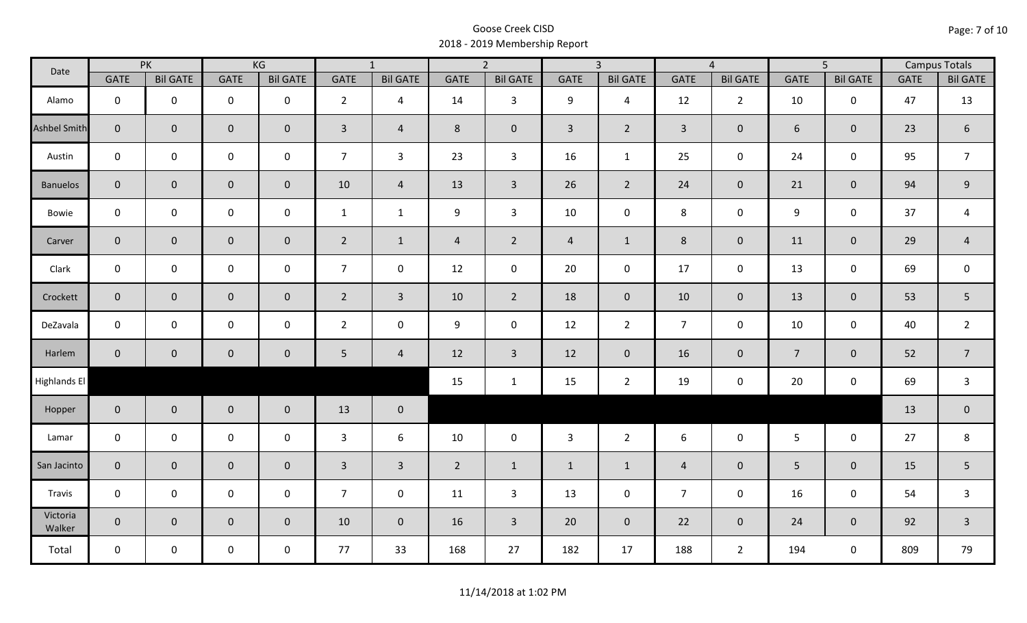| Date               |                | PK              |                     | KG              | $\overline{1}$  |                 |                | $\overline{2}$  |                | $\overline{3}$  |                | $\overline{4}$  | $\overline{5}$   |                 | <b>Campus Totals</b> |                  |
|--------------------|----------------|-----------------|---------------------|-----------------|-----------------|-----------------|----------------|-----------------|----------------|-----------------|----------------|-----------------|------------------|-----------------|----------------------|------------------|
|                    | <b>GATE</b>    | <b>Bil GATE</b> | <b>GATE</b>         | <b>Bil GATE</b> | <b>GATE</b>     | <b>Bil GATE</b> | <b>GATE</b>    | <b>Bil GATE</b> | <b>GATE</b>    | <b>Bil GATE</b> | <b>GATE</b>    | <b>Bil GATE</b> | <b>GATE</b>      | <b>Bil GATE</b> | <b>GATE</b>          | <b>Bil GATE</b>  |
| Alamo              | $\mathbf{0}$   | $\mathbf 0$     | $\mathbf 0$         | $\mathbf 0$     | $2^{\circ}$     | $\overline{4}$  | 14             | $\overline{3}$  | 9              | $\overline{4}$  | 12             | $\overline{2}$  | 10               | $\mathbf 0$     | 47                   | 13               |
| Ashbel Smith       | $\mathbf{0}$   | $\overline{0}$  | $\mathbf 0$         | $\mathbf{0}$    | $\mathbf{3}$    | $\overline{4}$  | 8              | $\mathbf{0}$    | $\mathsf{3}$   | $\overline{2}$  | $\overline{3}$ | $\mathbf 0$     | 6                | $\mathbf{0}$    | 23                   | $\boldsymbol{6}$ |
| Austin             | $\mathbf 0$    | $\mathbf 0$     | $\mathbf 0$         | $\mathbf 0$     | $\overline{7}$  | $\mathbf{3}$    | 23             | $\mathbf{3}$    | 16             | $\mathbf{1}$    | 25             | 0               | 24               | $\mathbf 0$     | 95                   | $\overline{7}$   |
| <b>Banuelos</b>    | $\overline{0}$ | $\mathbf 0$     | $\mathsf{O}\xspace$ | $\overline{0}$  | 10              | $\overline{4}$  | 13             | $\overline{3}$  | 26             | $2^{\circ}$     | 24             | $\mathbf 0$     | 21               | $\overline{0}$  | 94                   | 9                |
| Bowie              | $\mathbf 0$    | $\mathbf 0$     | $\mathsf{O}$        | $\mathbf 0$     | $\mathbf{1}$    | $\mathbf{1}$    | 9              | $\overline{3}$  | 10             | $\mathbf 0$     | $\,8\,$        | 0               | $\boldsymbol{9}$ | $\mathbf 0$     | 37                   | $\overline{a}$   |
| Carver             | $\overline{0}$ | $\mathbf 0$     | $\mathsf{O}\xspace$ | $\mathbf{0}$    | $\overline{2}$  | $\mathbf{1}$    | $\overline{4}$ | $\overline{2}$  | $\overline{4}$ | $\mathbf{1}$    | 8              | $\mathbf 0$     | 11               | $\mathbf{0}$    | 29                   | $\overline{4}$   |
| Clark              | $\mathbf 0$    | $\mathbf 0$     | $\mathsf{O}\xspace$ | 0               | $\overline{7}$  | $\mathbf 0$     | 12             | $\mathbf 0$     | 20             | $\mathbf 0$     | 17             | $\mathbf 0$     | 13               | $\mathbf 0$     | 69                   | $\mathbf 0$      |
| Crockett           | $\overline{0}$ | $\mathbf{0}$    | $\mathbf 0$         | $\overline{0}$  | $2^{\circ}$     | $\overline{3}$  | 10             | $\overline{2}$  | 18             | $\overline{0}$  | 10             | $\overline{0}$  | 13               | $\mathbf 0$     | 53                   | 5                |
| DeZavala           | $\mathbf 0$    | $\mathbf 0$     | $\mathbf 0$         | $\mathbf 0$     | $2^{\circ}$     | $\mathbf 0$     | 9              | $\mathbf 0$     | 12             | $\overline{2}$  | $\overline{7}$ | $\mathbf 0$     | 10               | $\mathbf 0$     | 40                   | $\overline{2}$   |
| Harlem             | $\overline{0}$ | $\overline{0}$  | $\mathbf 0$         | $\mathbf{0}$    | $5\phantom{.0}$ | $\overline{4}$  | 12             | $\overline{3}$  | 12             | $\overline{0}$  | 16             | $\mathbf{0}$    | $\overline{7}$   | $\pmb{0}$       | 52                   | $\overline{7}$   |
| Highlands El       |                |                 |                     |                 |                 |                 | 15             | $\mathbf{1}$    | 15             | $\overline{2}$  | 19             | 0               | 20               | $\mathbf 0$     | 69                   | $\mathbf{3}$     |
| Hopper             | $\overline{0}$ | $\overline{0}$  | $\mathbf 0$         | $\overline{0}$  | 13              | $\mathbf 0$     |                |                 |                |                 |                |                 |                  |                 | 13                   | $\pmb{0}$        |
| Lamar              | $\mathbf 0$    | $\mathbf 0$     | $\mathbf 0$         | $\mathbf 0$     | 3               | 6               | 10             | $\mathbf 0$     | $\mathbf{3}$   | $\overline{2}$  | 6              | $\mathbf 0$     | 5 <sub>1</sub>   | $\mathbf 0$     | 27                   | 8                |
| San Jacinto        | $\mathbf{0}$   | $\overline{0}$  | $\mathbf 0$         | $\mathbf 0$     | $\overline{3}$  | $\overline{3}$  | $\overline{2}$ | $\mathbf{1}$    | $\mathbf{1}$   | $\mathbf{1}$    | $\overline{4}$ | $\mathbf{0}$    | 5                | $\mathbf 0$     | 15                   | 5                |
| Travis             | $\mathbf 0$    | $\mathbf 0$     | $\mathsf{O}\xspace$ | $\mathbf 0$     | 7 <sup>7</sup>  | $\mathbf 0$     | 11             | $\mathbf{3}$    | 13             | $\mathbf 0$     | $\overline{7}$ | 0               | 16               | $\mathbf 0$     | 54                   | $\mathsf{3}$     |
| Victoria<br>Walker | $\overline{0}$ | $\overline{0}$  | $\mathbf 0$         | $\overline{0}$  | 10              | $\overline{0}$  | 16             | $\overline{3}$  | 20             | $\overline{0}$  | 22             | $\overline{0}$  | 24               | $\mathbf{0}$    | 92                   | $\overline{3}$   |
| Total              | $\mathbf 0$    | $\mathbf 0$     | $\mathbf 0$         | $\mathbf 0$     | 77              | 33              | 168            | 27              | 182            | 17              | 188            | $2^{\circ}$     | 194              | $\mathbf 0$     | 809                  | 79               |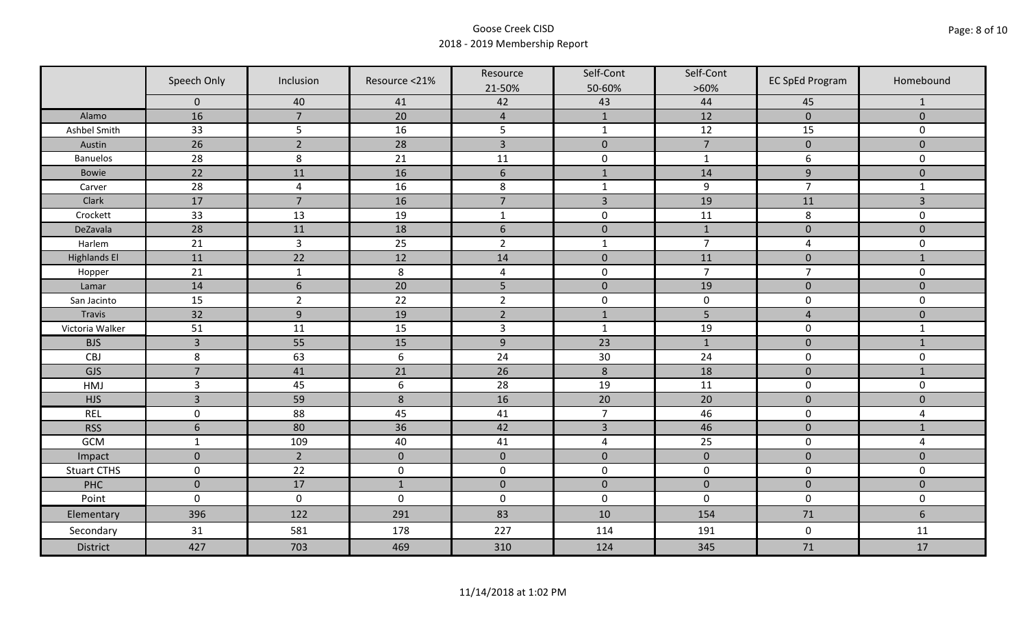|                     | Speech Only     | Inclusion       | Resource <21% | Resource<br>21-50% | Self-Cont<br>50-60% | Self-Cont<br>$>60\%$ | <b>EC SpEd Program</b>  | Homebound      |
|---------------------|-----------------|-----------------|---------------|--------------------|---------------------|----------------------|-------------------------|----------------|
|                     | $\mathbf 0$     | 40              | 41            | 42                 | 43                  | 44                   | 45                      | $\mathbf{1}$   |
| Alamo               | 16              | $\overline{7}$  | 20            | $\overline{4}$     | $\mathbf{1}$        | 12                   | $\pmb{0}$               | $\mathbf 0$    |
| Ashbel Smith        | 33              | 5               | 16            | 5                  | $\mathbf 1$         | $12$                 | 15                      | 0              |
| Austin              | $\overline{26}$ | $\overline{2}$  | 28            | $\overline{3}$     | $\pmb{0}$           | $\overline{7}$       | $\pmb{0}$               | $\overline{0}$ |
| <b>Banuelos</b>     | 28              | 8               | 21            | 11                 | $\pmb{0}$           | $\mathbf 1$          | 6                       | $\mathbf 0$    |
| <b>Bowie</b>        | 22              | 11              | 16            | $\boldsymbol{6}$   | $1\,$               | 14                   | $\boldsymbol{9}$        | $\pmb{0}$      |
| Carver              | 28              | $\overline{4}$  | 16            | 8                  | $\mathbf{1}$        | $\boldsymbol{9}$     | $\overline{7}$          | $\mathbf{1}$   |
| Clark               | 17              | $\overline{7}$  | 16            | $\overline{7}$     | $\overline{3}$      | 19                   | 11                      | 3              |
| Crockett            | 33              | 13              | 19            | $\mathbf{1}$       | $\pmb{0}$           | 11                   | 8                       | 0              |
| DeZavala            | 28              | 11              | 18            | $6\,$              | $\pmb{0}$           | $\mathbf{1}$         | $\pmb{0}$               | $\overline{0}$ |
| Harlem              | 21              | $\overline{3}$  | 25            | $\overline{2}$     | $\mathbf 1$         | $\overline{7}$       | $\overline{\mathbf{4}}$ | 0              |
| <b>Highlands El</b> | 11              | $\overline{22}$ | 12            | 14                 | $\pmb{0}$           | 11                   | $\pmb{0}$               | $\mathbf{1}$   |
| Hopper              | 21              | $\mathbf 1$     | $\,8\,$       | $\pmb{4}$          | $\pmb{0}$           | $\overline{7}$       | $\overline{7}$          | $\mathbf 0$    |
| Lamar               | 14              | $6\phantom{1}6$ | 20            | 5                  | $\pmb{0}$           | 19                   | $\pmb{0}$               | $\mathbf 0$    |
| San Jacinto         | 15              | $\overline{2}$  | 22            | $\overline{2}$     | $\pmb{0}$           | $\pmb{0}$            | $\pmb{0}$               | 0              |
| Travis              | 32              | 9               | 19            | $\overline{2}$     | $1\,$               | 5                    | $\overline{4}$          | $\mathbf 0$    |
| Victoria Walker     | 51              | 11              | 15            | $\mathbf{3}$       | $\mathbf{1}$        | 19                   | $\pmb{0}$               | $\mathbf{1}$   |
| <b>BJS</b>          | $\overline{3}$  | 55              | 15            | $\boldsymbol{9}$   | 23                  | $\mathbf{1}$         | $\mathbf 0$             | $\mathbf{1}$   |
| CBJ                 | $\,8\,$         | 63              | $6\,$         | 24                 | $30\,$              | 24                   | $\pmb{0}$               | 0              |
| GJS                 | $\overline{7}$  | 41              | 21            | 26                 | $\,8$               | 18                   | $\mathbf 0$             | $\mathbf{1}$   |
| HMJ                 | $\overline{3}$  | 45              | $6\,$         | 28                 | 19                  | 11                   | $\pmb{0}$               | 0              |
| <b>HJS</b>          | $\overline{3}$  | 59              | 8             | 16                 | 20                  | 20                   | $\pmb{0}$               | $\mathbf 0$    |
| <b>REL</b>          | $\mathbf 0$     | 88              | 45            | 41                 | $\overline{7}$      | 46                   | $\pmb{0}$               | 4              |
| <b>RSS</b>          | $6\phantom{1}6$ | 80              | 36            | 42                 | $\overline{3}$      | 46                   | $\pmb{0}$               | $\mathbf{1}$   |
| GCM                 | $\mathbf{1}$    | 109             | 40            | 41                 | $\overline{4}$      | 25                   | $\pmb{0}$               | 4              |
| Impact              | $\mathbf 0$     | $\overline{2}$  | $\mathbf{0}$  | $\mathbf 0$        | $\mathbf 0$         | $\pmb{0}$            | $\mathbf 0$             | $\overline{0}$ |
| <b>Stuart CTHS</b>  | $\mathsf 0$     | 22              | $\pmb{0}$     | $\pmb{0}$          | $\pmb{0}$           | $\pmb{0}$            | $\pmb{0}$               | 0              |
| PHC                 | $\mathbf 0$     | 17              | $1\,$         | $\pmb{0}$          | $\pmb{0}$           | $\pmb{0}$            | $\pmb{0}$               | $\pmb{0}$      |
| Point               | $\mathbf 0$     | $\mathbf 0$     | $\mathbf 0$   | $\boldsymbol{0}$   | $\pmb{0}$           | $\mathbf 0$          | $\mathbf 0$             | 0              |
| Elementary          | 396             | 122             | 291           | 83                 | 10                  | 154                  | 71                      | $6\phantom{a}$ |
| Secondary           | 31              | 581             | 178           | 227                | 114                 | 191                  | $\mathbf 0$             | 11             |
| <b>District</b>     | 427             | 703             | 469           | 310                | 124                 | 345                  | 71                      | 17             |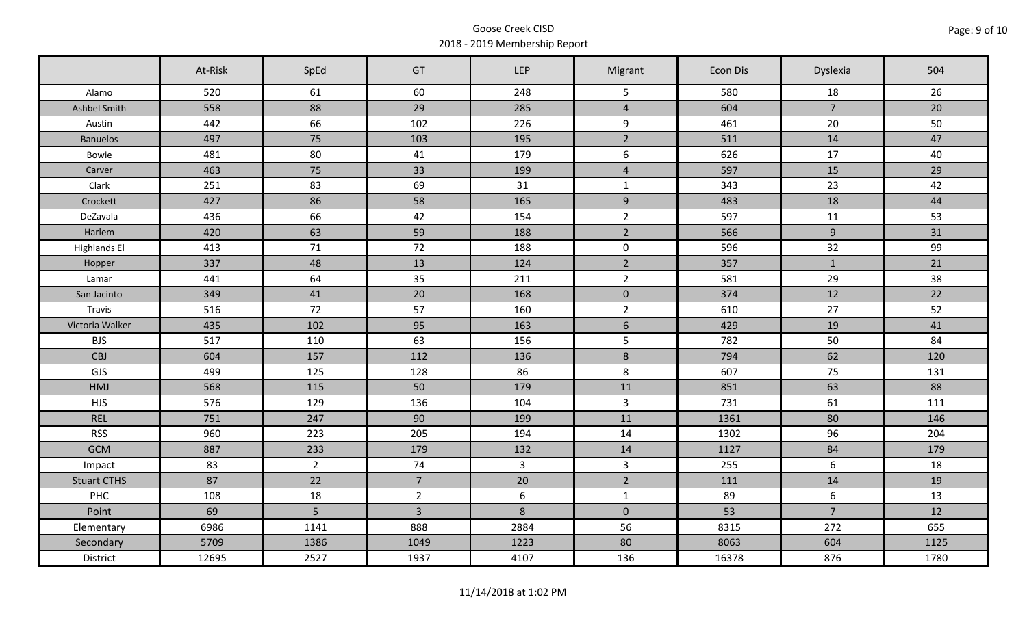|                     | At-Risk | SpEd           | GT             | <b>LEP</b>     | Migrant        | Econ Dis | Dyslexia       | 504  |
|---------------------|---------|----------------|----------------|----------------|----------------|----------|----------------|------|
| Alamo               | 520     | 61             | 60             | 248            | 5              | 580      | 18             | 26   |
| Ashbel Smith        | 558     | 88             | 29             | 285            | $\overline{4}$ | 604      | $\overline{7}$ | 20   |
| Austin              | 442     | 66             | 102            | 226            | 9              | 461      | 20             | 50   |
| <b>Banuelos</b>     | 497     | 75             | 103            | 195            | $2^{\circ}$    | 511      | 14             | 47   |
| Bowie               | 481     | 80             | 41             | 179            | $6\,$          | 626      | 17             | 40   |
| Carver              | 463     | 75             | 33             | 199            | $\overline{a}$ | 597      | 15             | 29   |
| Clark               | 251     | 83             | 69             | 31             | $\mathbf{1}$   | 343      | 23             | 42   |
| Crockett            | 427     | 86             | 58             | 165            | 9              | 483      | 18             | 44   |
| DeZavala            | 436     | 66             | 42             | 154            | $\overline{2}$ | 597      | 11             | 53   |
| Harlem              | 420     | 63             | 59             | 188            | $\overline{2}$ | 566      | 9              | 31   |
| <b>Highlands El</b> | 413     | 71             | 72             | 188            | $\mathbf 0$    | 596      | 32             | 99   |
| Hopper              | 337     | 48             | 13             | 124            | $2^{\circ}$    | 357      | $\mathbf{1}$   | 21   |
| Lamar               | 441     | 64             | 35             | 211            | $\overline{2}$ | 581      | 29             | 38   |
| San Jacinto         | 349     | 41             | 20             | 168            | $\mathbf 0$    | 374      | 12             | 22   |
| Travis              | 516     | 72             | 57             | 160            | $\overline{2}$ | 610      | 27             | 52   |
| Victoria Walker     | 435     | 102            | 95             | 163            | $6\phantom{.}$ | 429      | 19             | 41   |
| <b>BJS</b>          | 517     | 110            | 63             | 156            | 5              | 782      | 50             | 84   |
| <b>CBJ</b>          | 604     | 157            | 112            | 136            | $\bf 8$        | 794      | 62             | 120  |
| GJS                 | 499     | 125            | 128            | 86             | 8              | 607      | 75             | 131  |
| <b>HMJ</b>          | 568     | 115            | 50             | 179            | 11             | 851      | 63             | 88   |
| <b>HJS</b>          | 576     | 129            | 136            | 104            | $\overline{3}$ | 731      | 61             | 111  |
| <b>REL</b>          | 751     | 247            | 90             | 199            | 11             | 1361     | 80             | 146  |
| <b>RSS</b>          | 960     | 223            | 205            | 194            | 14             | 1302     | 96             | 204  |
| <b>GCM</b>          | 887     | 233            | 179            | 132            | 14             | 1127     | 84             | 179  |
| Impact              | 83      | 2 <sup>1</sup> | 74             | $\overline{3}$ | $\overline{3}$ | 255      | 6              | 18   |
| <b>Stuart CTHS</b>  | 87      | 22             | 7 <sup>7</sup> | 20             | $\overline{2}$ | 111      | 14             | 19   |
| PHC                 | 108     | 18             | $\overline{2}$ | $6\phantom{1}$ | $\mathbf{1}$   | 89       | 6              | 13   |
| Point               | 69      | 5              | $\overline{3}$ | 8              | $\overline{0}$ | 53       | $\overline{7}$ | 12   |
| Elementary          | 6986    | 1141           | 888            | 2884           | 56             | 8315     | 272            | 655  |
| Secondary           | 5709    | 1386           | 1049           | 1223           | 80             | 8063     | 604            | 1125 |
| District            | 12695   | 2527           | 1937           | 4107           | 136            | 16378    | 876            | 1780 |